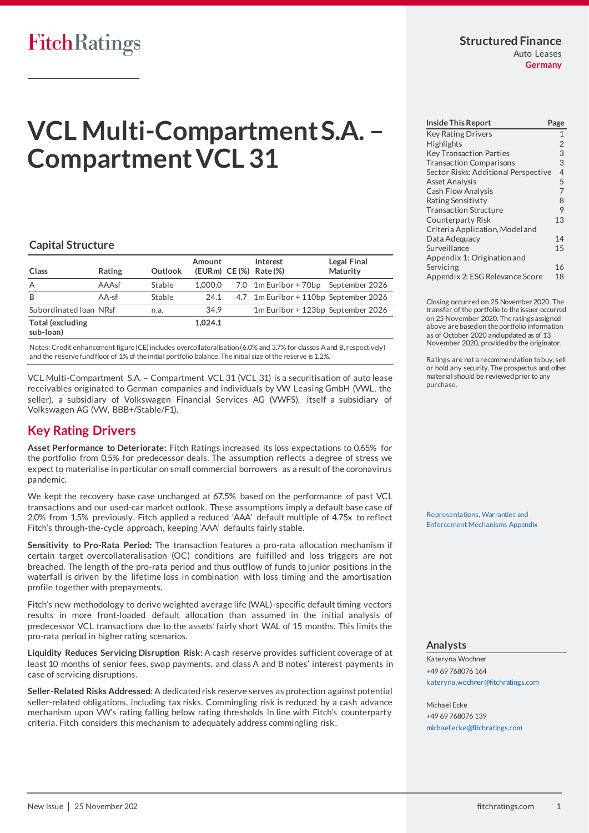### **Structured Finance** Auto Leases

**Germany**

# **VCL Multi-Compartment S.A. – Compartment VCL 31**

#### **Capital Structure**

| Class                         | Rating  | Outlook | Amount  | Interest<br>(EURm) CE(%) Rate(%)      | Legal Final<br>Maturity |
|-------------------------------|---------|---------|---------|---------------------------------------|-------------------------|
| A                             | AAAsf   | Stable  | 1.000.0 | 7.0 1m Euribor + 70bp September 2026  |                         |
| B                             | $AA-sf$ | Stable  | 24.1    | 4.7 1m Euribor + 110bp September 2026 |                         |
| Subordinated Ioan NRsf        |         | n.a.    | 34.9    | 1m Euribor + 123bp September 2026     |                         |
| Total (excluding<br>sub-loan) |         |         | 1.024.1 |                                       |                         |

Notes: Credit enhancement figure (CE) includes overcollateralisation (6.0% and 3.7% for classes A and B, respectively) and the reserve fund floor of 1% of the initial portfolio balance. The initial size of the reserve is 1.2%.

VCL Multi-Compartment S.A. – Compartment VCL 31 (VCL 31) is a securitisation of auto lease receivables originated to German companies and individuals by VW Leasing GmbH (VWL, the seller), a subsidiary of Volkswagen Financial Services AG (VWFS), itself a subsidiary of Volkswagen AG (VW, BBB+/Stable/F1).

## <span id="page-0-0"></span>**Key Rating Drivers**

**Asset Performance to Deteriorate:** Fitch Ratings increased its loss expectations to 0.65% for the portfolio from 0.5% for predecessor deals. The assumption reflects a degree of stress we expect to materialise in particular on small commercial borrowers as a result of the coronavirus pandemic.

We kept the recovery base case unchanged at 67.5% based on the performance of past VCL transactions and our used-car market outlook. These assumptions imply a default base case of 2.0% from 1.5% previously. Fitch applied a reduced 'AAA' default multiple of 4.75x to reflect Fitch's through-the-cycle approach, keeping 'AAA' defaults fairly stable.

**Sensitivity to Pro-Rata Period:** The transaction features a pro-rata allocation mechanism if certain target overcollateralisation (OC) conditions are fulfilled and loss triggers are not breached. The length of the pro-rata period and thus outflow of funds to junior positions in the waterfall is driven by the lifetime loss in combination with loss timing and the amortisation profile together with prepayments.

Fitch's new methodology to derive weighted average life (WAL)-specific default timing vectors results in more front-loaded default allocation than assumed in the initial analysis of predecessor VCL transactions due to the assets' fairly short WAL of 15 months. This limits the pro-rata period in higher rating scenarios.

**Liquidity Reduces Servicing Disruption Risk:** A cash reserve provides sufficient coverage of at least 10 months of senior fees, swap payments, and class A and B notes' interest payments in case of servicing disruptions.

**Seller-Related Risks Addressed**: A dedicated risk reserve serves as protection against potential seller-related obligations, including tax risks. Commingling risk is reduced by a cash advance mechanism upon VW's rating falling below rating thresholds in line with Fitch's counterparty criteria. Fitch considers this mechanism to adequately address commingling risk.

| <b>Inside This Report</b><br>Page    |                |  |  |
|--------------------------------------|----------------|--|--|
| <b>Key Rating Drivers</b>            | $\mathbf{1}$   |  |  |
| <b>Highlights</b>                    | $\overline{2}$ |  |  |
| <b>Key Transaction Parties</b>       | 3              |  |  |
| <b>Transaction Comparisons</b>       | 3              |  |  |
| Sector Risks: Additional Perspective | $\overline{4}$ |  |  |
| <b>Asset Analysis</b>                | 5              |  |  |
| <b>Cash Flow Analysis</b>            | $\overline{7}$ |  |  |
| Rating Sensitivity                   | 8              |  |  |
| <b>Transaction Structure</b>         | 9              |  |  |
| Counterparty Risk                    | 13             |  |  |
| Criteria Application, Model and      |                |  |  |
| Data Adequacy                        | 14             |  |  |
| Surveillance                         | 15             |  |  |
| Appendix 1: Origination and          |                |  |  |
| Servicing                            | 16             |  |  |
| Appendix 2: ESG Relevance Score      | 18             |  |  |

Closing occurred on 25 November 2020. The transfer of the portfolio to the issuer occurred on 25 November 2020. The ratings assigned above are based on the portfolio information as of October 2020 and updated as of 13 November 2020, provided by the originator.

Ratings are not a recommendation to buy, sell or hold any security. The prospectus and other material should be reviewed prior to any purchase.

[Representations, Warranties and](https://app.fitchconnect.com/search/research/article/RPT_10141040)  [Enforcement Mechanisms Appendix](https://app.fitchconnect.com/search/research/article/RPT_10141040)

#### **Analysts**

Kateryna Wochner +49 69 768076 164 [kateryna.wochner@fitchratings.com](mailto:kateryna.wochner@fitchratings.com)

Michael Ecke +49 69 768076 139 [michael.ecke@fitchratings.com](mailto:michael.ecke@fitchratings.com)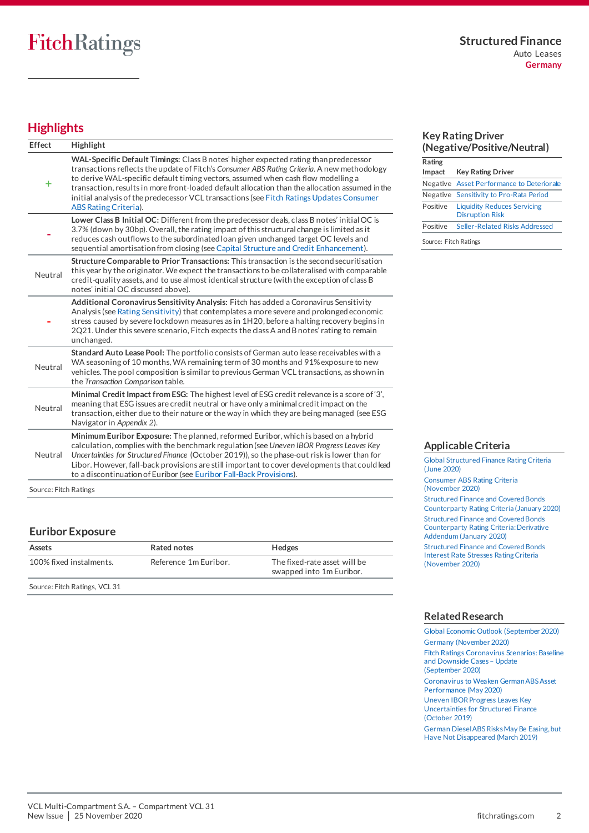# <span id="page-1-0"></span>**Highlights**

| Effect                | Highlight                                                                                                                                                                                                                                                                                                                                                                                                                                                                                        |
|-----------------------|--------------------------------------------------------------------------------------------------------------------------------------------------------------------------------------------------------------------------------------------------------------------------------------------------------------------------------------------------------------------------------------------------------------------------------------------------------------------------------------------------|
| $\pm$                 | WAL-Specific Default Timings: Class B notes' higher expected rating than predecessor<br>transactions reflects the update of Fitch's Consumer ABS Rating Criteria. A new methodology<br>to derive WAL-specific default timing vectors, assumed when cash flow modelling a<br>transaction, results in more front-loaded default allocation than the allocation assumed in the<br>initial analysis of the predecessor VCL transactions (see Fitch Ratings Updates Consumer<br>ABS Rating Criteria). |
|                       | Lower Class B Initial OC: Different from the predecessor deals, class B notes' initial OC is<br>3.7% (down by 30bp). Overall, the rating impact of this structural change is limited as it<br>reduces cash outflows to the subordinated loan given unchanged target OC levels and<br>sequential amortisation from closing (see Capital Structure and Credit Enhancement).                                                                                                                        |
| Neutral               | Structure Comparable to Prior Transactions: This transaction is the second securitisation<br>this year by the originator. We expect the transactions to be collateralised with comparable<br>credit-quality assets, and to use almost identical structure (with the exception of class B<br>notes' initial OC discussed above).                                                                                                                                                                  |
|                       | Additional Coronavirus Sensitivity Analysis: Fitch has added a Coronavirus Sensitivity<br>Analysis (see Rating Sensitivity) that contemplates a more severe and prolonged economic<br>stress caused by severe lockdown measures as in 1H20, before a halting recovery begins in<br>2Q21. Under this severe scenario, Fitch expects the class A and B notes' rating to remain<br>unchanged.                                                                                                       |
| Neutral               | Standard Auto Lease Pool: The portfolio consists of German auto lease receivables with a<br>WA seasoning of 10 months, WA remaining term of 30 months and 91% exposure to new<br>vehicles. The pool composition is similar to previous German VCL transactions, as shown in<br>the Transaction Comparison table.                                                                                                                                                                                 |
| Neutral               | Minimal Credit Impact from ESG: The highest level of ESG credit relevance is a score of '3',<br>meaning that ESG issues are credit neutral or have only a minimal credit impact on the<br>transaction, either due to their nature or the way in which they are being managed (see ESG<br>Navigator in Appendix 2).                                                                                                                                                                               |
| Neutral               | Minimum Euribor Exposure: The planned, reformed Euribor, which is based on a hybrid<br>calculation, complies with the benchmark regulation (see Uneven IBOR Progress Leaves Key<br>Uncertainties for Structured Finance (October 2019)), so the phase-out risk is lower than for<br>Libor. However, fall-back provisions are still important to cover developments that could lead<br>to a discontinuation of Euribor (see Euribor Fall-Back Provisions).                                        |
| Source: Fitch Ratings |                                                                                                                                                                                                                                                                                                                                                                                                                                                                                                  |

## **Euribor Exposure**

| Assets                  | Rated notes           | <b>Hedges</b>                                            |
|-------------------------|-----------------------|----------------------------------------------------------|
| 100% fixed instalments. | Reference 1m Euribor. | The fixed-rate asset will be<br>swapped into 1m Euribor. |

Source: Fitch Ratings, VCL 31

#### **Key Rating Driver (Negative/Positive/Neutral)**

| Rating                |                                                              |  |  |
|-----------------------|--------------------------------------------------------------|--|--|
| Impact                | Key Rating Driver                                            |  |  |
|                       | Negative Asset Performance to Deteriorate                    |  |  |
|                       | Negative Sensitivity to Pro-Rata Period                      |  |  |
| Positive              | <b>Liquidity Reduces Servicing</b><br><b>Disruption Risk</b> |  |  |
| Positive              | Seller-Related Risks Addressed                               |  |  |
| Source: Fitch Ratings |                                                              |  |  |

**Applicable Criteria**

[Global Structured Finance Rating Criteria](https://app.fitchconnect.com/search/research/article/RPT_10126475)  [\(June 2020\)](https://app.fitchconnect.com/search/research/article/RPT_10126475) [Consumer ABS Rating Criteria](https://app.fitchconnect.com/search/research/article/RPT_10142225)  [\(November 2020\)](https://app.fitchconnect.com/search/research/article/RPT_10142225) [Structured Finance and Covered Bonds](https://app.fitchconnect.com/search/research/article/RPT_10108544)  [Counterparty Rating Criteria \(January 2020\)](https://app.fitchconnect.com/search/research/article/RPT_10108544) [Structured Finance and Covered Bonds](https://app.fitchconnect.com/search/research/article/RPT_10108546)  [Counterparty Rating Criteria: Derivative](https://app.fitchconnect.com/search/research/article/RPT_10108546)  [Addendum \(January 2020\)](https://app.fitchconnect.com/search/research/article/RPT_10108546)  **Structured Finance and Covered Bonds** [Interest Rate Stresses Rating Criteria](https://app.fitchconnect.com/search/research/article/RPT_10141992)  [\(November 2020\)](https://app.fitchconnect.com/search/research/article/RPT_10141992)

#### **Related Research**

[Global Economic Outlook \(September 2020\)](https://app.fitchconnect.com/search/research/article/RPT_10135033) [Germany \(November 2020\)](https://app.fitchconnect.com/search/research/article/RPT_10142728) [Fitch Ratings Coronavirus Scenarios: Baseline](https://app.fitchconnect.com/search/research/article/RPT_10135320) 

[and Downside Cases](https://app.fitchconnect.com/search/research/article/RPT_10135320) – Update [\(September 2020\)](https://app.fitchconnect.com/search/research/article/RPT_10135320) Coronavirus to [Weaken German ABS Asset](https://app.fitchconnect.com/search/research/article/PR_10121569) 

[Performance](https://app.fitchconnect.com/search/research/article/PR_10121569) (May 2020) [Uneven IBOR Progress Leaves Key](https://app.fitchconnect.com/search/research/article/PR_10091283) 

[Uncertainties for Structured Finance](https://app.fitchconnect.com/search/research/article/PR_10091283)  [\(October 2019\)](https://app.fitchconnect.com/search/research/article/PR_10091283)

[German Diesel ABS Risks May Be Easing, but](https://app.fitchconnect.com/search/research/article/PR_10066989)  [Have Not Disappeared \(March 2019\)](https://app.fitchconnect.com/search/research/article/PR_10066989)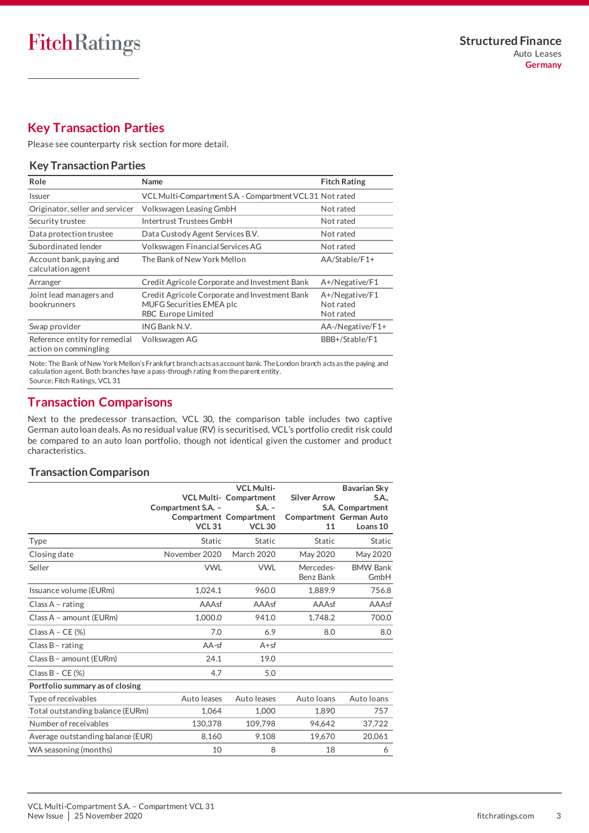# <span id="page-2-0"></span>**Key Transaction Parties**

Please se[e counterparty risk section](#page-11-0) for more detail.

#### **Key Transaction Parties**

| Role                                                   | Name                                                                                                          | <b>Fitch Rating</b>                      |
|--------------------------------------------------------|---------------------------------------------------------------------------------------------------------------|------------------------------------------|
| <b>Issuer</b>                                          | VCL Multi-Compartment S.A. - Compartment VCL31 Not rated                                                      |                                          |
| Originator, seller and servicer                        | Volkswagen Leasing GmbH                                                                                       | Not rated                                |
| Security trustee                                       | Intertrust Trustees GmbH                                                                                      | Not rated                                |
| Data protection trustee                                | Data Custody Agent Services B.V.                                                                              | Not rated                                |
| Subordinated lender                                    | Volkswagen Financial Services AG                                                                              | Not rated                                |
| Account bank, paying and<br>calculation agent          | The Bank of New York Mellon                                                                                   | $AA/Stable/F1+$                          |
| Arranger                                               | Credit Agricole Corporate and Investment Bank                                                                 | A+/Negative/F1                           |
| Joint lead managers and<br>bookrunners                 | Credit Agricole Corporate and Investment Bank<br><b>MUFG Securities EMEA plc</b><br><b>RBC Europe Limited</b> | A+/Negative/F1<br>Not rated<br>Not rated |
| Swap provider                                          | ING Bank N.V.                                                                                                 | AA-/Negative/F1+                         |
| Reference entity for remedial<br>action on commingling | Volkswagen AG                                                                                                 | BBB+/Stable/F1                           |

Note: The Bank of New York Mellon's Frankfurt branch acts as account bank. The London branch acts as the paying and calculation agent. Both branches have a pass-through rating from the parent entity. Source: Fitch Ratings, VCL 31

## <span id="page-2-1"></span>**Transaction Comparisons**

Next to the predecessor transaction, VCL 30, the comparison table includes two captive German auto loan deals. As no residual value (RV) is securitised, VCL's portfolio credit risk could be compared to an auto loan portfolio, though not identical given the customer and product characteristics.

## **Transaction Comparison**

|                                   | Compartment S.A. -<br><b>VCL 31</b> | <b>VCL Multi-</b><br><b>VCL Multi- Compartment</b><br>$S.A. -$<br>Compartment Compartment<br><b>VCL30</b> | <b>Silver Arrow</b><br>11 | Bavarian Sky<br>S.A.,<br>S.A. Compartment<br>Compartment German Auto<br>Loans 10 |
|-----------------------------------|-------------------------------------|-----------------------------------------------------------------------------------------------------------|---------------------------|----------------------------------------------------------------------------------|
| Type                              | <b>Static</b>                       | Static                                                                                                    | Static                    | <b>Static</b>                                                                    |
| Closing date                      | November 2020                       | <b>March 2020</b>                                                                                         | May 2020                  | May 2020                                                                         |
| Seller                            | <b>VWL</b>                          | <b>VWL</b>                                                                                                | Mercedes-<br>Benz Bank    | <b>BMW Bank</b><br>GmbH                                                          |
| Issuance volume (EURm)            | 1,024.1                             | 960.0                                                                                                     | 1,889.9                   | 756.8                                                                            |
| Class A - rating                  | AAAsf                               | AAAsf                                                                                                     | AAAsf                     | AAAsf                                                                            |
| Class A - amount (EURm)           | 1,000.0                             | 941.0                                                                                                     | 1,748.2                   | 700.0                                                                            |
| Class $A - CE$ (%)                | 7.0                                 | 6.9                                                                                                       | 8.0                       | 8.0                                                                              |
| Class $B$ - rating                | $AA-sf$                             | $A + sf$                                                                                                  |                           |                                                                                  |
| Class B - amount (EURm)           | 24.1                                | 19.0                                                                                                      |                           |                                                                                  |
| Class $B - CE (%)$                | 4.7                                 | 5.0                                                                                                       |                           |                                                                                  |
| Portfolio summary as of closing   |                                     |                                                                                                           |                           |                                                                                  |
| Type of receivables               | Auto leases                         | Auto leases                                                                                               | Auto loans                | Auto loans                                                                       |
| Total outstanding balance (EURm)  | 1.064                               | 1,000                                                                                                     | 1.890                     | 757                                                                              |
| Number of receivables             | 130,378                             | 109,798                                                                                                   | 94.642                    | 37,722                                                                           |
| Average outstanding balance (EUR) | 8,160                               | 9,108                                                                                                     | 19,670                    | 20,061                                                                           |
| WA seasoning (months)             | 10                                  | 8                                                                                                         | 18                        | 6                                                                                |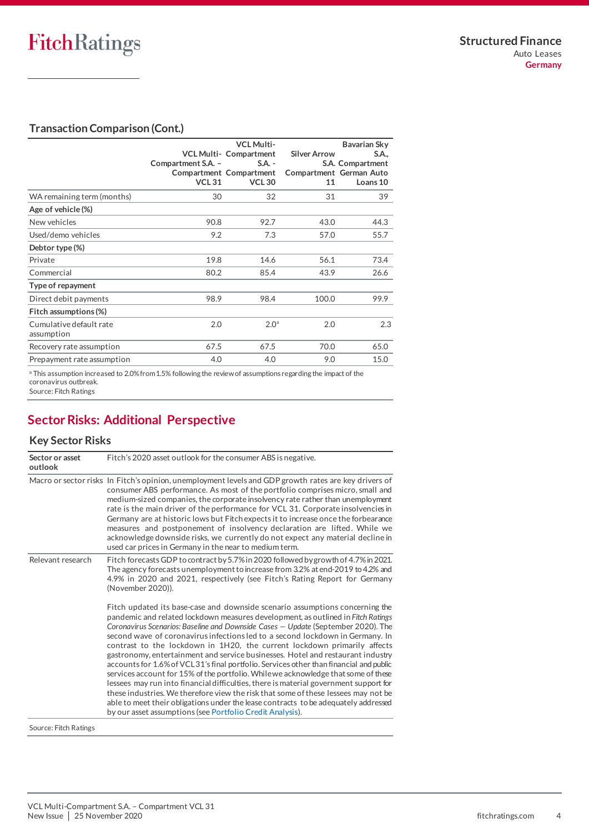## **Transaction Comparison (Cont.)**

|                            |                    | <b>VCL Multi-</b>             |                         | Bavarian Sky     |
|----------------------------|--------------------|-------------------------------|-------------------------|------------------|
|                            |                    | <b>VCL Multi- Compartment</b> | <b>Silver Arrow</b>     | S.A.,            |
|                            | Compartment S.A. - | $S.A. -$                      |                         | S.A. Compartment |
|                            |                    | Compartment Compartment       | Compartment German Auto |                  |
|                            | <b>VCL 31</b>      | <b>VCL30</b>                  | 11                      | Loans 10         |
| WA remaining term (months) | 30                 | 32                            | 31                      | 39               |
| Age of vehicle (%)         |                    |                               |                         |                  |
| New vehicles               | 90.8               | 92.7                          | 43.0                    | 44.3             |
| Used/demo vehicles         | 9.2                | 7.3                           | 57.0                    | 55.7             |
| Debtor type (%)            |                    |                               |                         |                  |
| Private                    | 19.8               | 14.6                          | 56.1                    | 73.4             |
| Commercial                 | 80.2               | 85.4                          | 43.9                    | 26.6             |
| Type of repayment          |                    |                               |                         |                  |
| Direct debit payments      | 98.9               | 98.4                          | 100.0                   | 99.9             |
| Fitch assumptions (%)      |                    |                               |                         |                  |
| Cumulative default rate    | 2.0                | 2.0 <sup>a</sup>              | 2.0                     | 2.3              |
| assumption                 |                    |                               |                         |                  |
| Recovery rate assumption   | 67.5               | 67.5                          | 70.0                    | 65.0             |
| Prepayment rate assumption | 4.0                | 4.0                           | 9.0                     | 15.0             |
|                            |                    |                               |                         |                  |

a This assumption increased to 2.0% from 1.5% following the review of assumptions regarding the impact of the coronavirus outbreak.

Source: Fitch Ratings

## <span id="page-3-0"></span>**Sector Risks: Additional Perspective**

## **Key Sector Risks**

| Sector or asset<br>outlook | Fitch's 2020 asset outlook for the consumer ABS is negative.                                                                                                                                                                                                                                                                                                                                                                                                                                                                                                                                                                                                                                                                                                                                                                                                                                                                                                                                                             |
|----------------------------|--------------------------------------------------------------------------------------------------------------------------------------------------------------------------------------------------------------------------------------------------------------------------------------------------------------------------------------------------------------------------------------------------------------------------------------------------------------------------------------------------------------------------------------------------------------------------------------------------------------------------------------------------------------------------------------------------------------------------------------------------------------------------------------------------------------------------------------------------------------------------------------------------------------------------------------------------------------------------------------------------------------------------|
|                            | Macro or sector risks In Fitch's opinion, unemployment levels and GDP growth rates are key drivers of<br>consumer ABS performance. As most of the portfolio comprises micro, small and<br>medium-sized companies, the corporate insolvency rate rather than unemployment<br>rate is the main driver of the performance for VCL 31. Corporate insolvencies in<br>Germany are at historic lows but Fitch expects it to increase once the forbearance<br>measures and postponement of insolvency declaration are lifted. While we<br>acknowledge downside risks, we currently do not expect any material decline in<br>used car prices in Germany in the near to medium term.                                                                                                                                                                                                                                                                                                                                               |
| Relevant research          | Fitch forecasts GDP to contract by 5.7% in 2020 followed by growth of 4.7% in 2021.<br>The agency forecasts unemployment to increase from 3.2% at end-2019 to 4.2% and<br>4.9% in 2020 and 2021, respectively (see Fitch's Rating Report for Germany<br>(November 2020)).                                                                                                                                                                                                                                                                                                                                                                                                                                                                                                                                                                                                                                                                                                                                                |
|                            | Fitch updated its base-case and downside scenario assumptions concerning the<br>pandemic and related lockdown measures development, as outlined in Fitch Ratings<br>Coronavirus Scenarios: Baseline and Downside Cases - Update (September 2020). The<br>second wave of coronavirus infections led to a second lockdown in Germany. In<br>contrast to the lockdown in 1H20, the current lockdown primarily affects<br>gastronomy, entertainment and service businesses. Hotel and restaurant industry<br>accounts for 1.6% of VCL31's final portfolio. Services other than financial and public<br>services account for 15% of the portfolio. While we acknowledge that some of these<br>lessees may run into financial difficulties, there is material government support for<br>these industries. We therefore view the risk that some of these lessees may not be<br>able to meet their obligations under the lease contracts to be adequately addressed<br>by our asset assumptions (see Portfolio Credit Analysis). |
| Source: Fitch Ratings      |                                                                                                                                                                                                                                                                                                                                                                                                                                                                                                                                                                                                                                                                                                                                                                                                                                                                                                                                                                                                                          |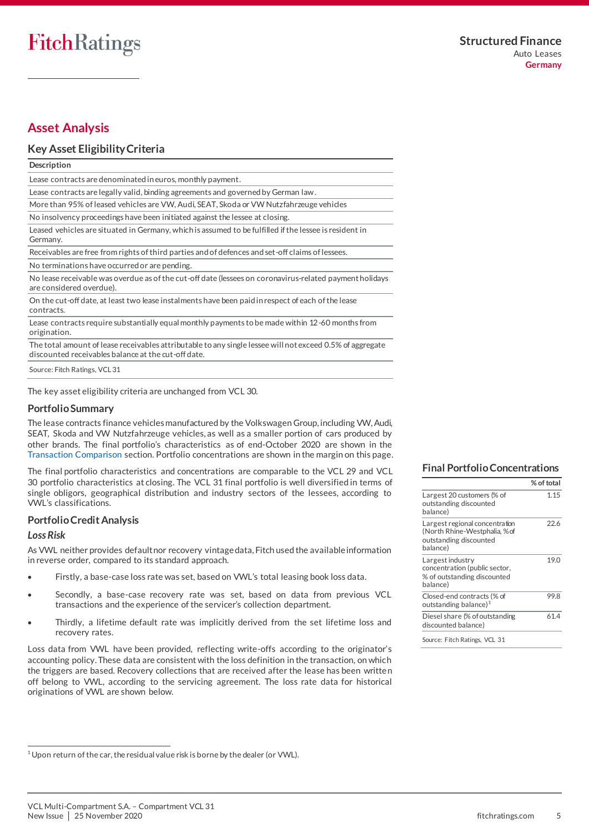## <span id="page-4-0"></span>**Asset Analysis**

### **Key Asset Eligibility Criteria**

**Description**

Lease contracts are denominated in euros, monthly payment.

Lease contracts are legally valid, binding agreements and governed by German law.

More than 95% of leased vehicles are VW, Audi, SEAT, Skoda or VW Nutzfahrzeuge vehicles

No insolvency proceedings have been initiated against the lessee at closing.

Leased vehicles are situated in Germany, which is assumed to be fulfilled if the lessee is resident in Germany.

Receivables are free from rights of third parties and of defences and set-off claims of lessees.

No terminations have occurred or are pending.

No lease receivable was overdue as of the cut-off date (lessees on coronavirus-related payment holidays are considered overdue).

On the cut-off date, at least two lease instalments have been paid in respect of each of the lease contracts.

Lease contracts require substantially equal monthly payments to be made within 12-60 months from origination.

The total amount of lease receivables attributable to any single lessee will not exceed 0.5% of aggregate discounted receivables balance at the cut-off date.

Source: Fitch Ratings, VCL 31

The key asset eligibility criteria are unchanged from VCL 30.

#### **Portfolio Summary**

The lease contracts finance vehicles manufactured by the Volkswagen Group, including VW, Audi, SEAT, Skoda and VW Nutzfahrzeuge vehicles, as well as a smaller portion of cars produced by other brands. The final portfolio's characteristics as of end-October 2020 are shown in the [Transaction Comparison](#page-2-1) section. Portfolio concentrations are shown in the margin on this page.

The final portfolio characteristics and concentrations are comparable to the VCL 29 and VCL 30 portfolio characteristics at closing. The VCL 31 final portfolio is well diversified in terms of single obligors, geographical distribution and industry sectors of the lessees, according to VWL's classifications.

#### <span id="page-4-1"></span>**Portfolio Credit Analysis**

#### *Loss Risk*

.

As VWL neither provides default nor recovery vintage data, Fitch used the available information in reverse order, compared to its standard approach.

- Firstly, a base-case loss rate was set, based on VWL's total leasing book loss data.
- Secondly, a base-case recovery rate was set, based on data from previous VCL transactions and the experience of the servicer's collection department.
- Thirdly, a lifetime default rate was implicitly derived from the set lifetime loss and recovery rates.

Loss data from VWL have been provided, reflecting write-offs according to the originator's accounting policy. These data are consistent with the loss definition in the transaction, on which the triggers are based. Recovery collections that are received after the lease has been writte n off belong to VWL, according to the servicing agreement. The loss rate data for historical originations of VWL are shown below.

#### **Final Portfolio Concentrations**

|                                                                                                      | % of total |
|------------------------------------------------------------------------------------------------------|------------|
| Largest 20 customers (% of<br>outstanding discounted<br>balance)                                     | 1.15       |
| Largest regional concentration<br>(North Rhine-Westphalia, %of<br>outstanding discounted<br>balance) | 22.6       |
| Largest industry<br>concentration (public sector,<br>% of outstanding discounted<br>balance)         | 19.0       |
| Closed-end contracts (% of<br>outstanding balance) $1$                                               | 99.8       |
| Diesel share (% of outstanding<br>discounted balance)                                                | 61.4       |
| Source: Fitch Ratings, VCL 31                                                                        |            |

<sup>&</sup>lt;sup>1</sup> Upon return of the car, the residual value risk is borne by the dealer (or VWL).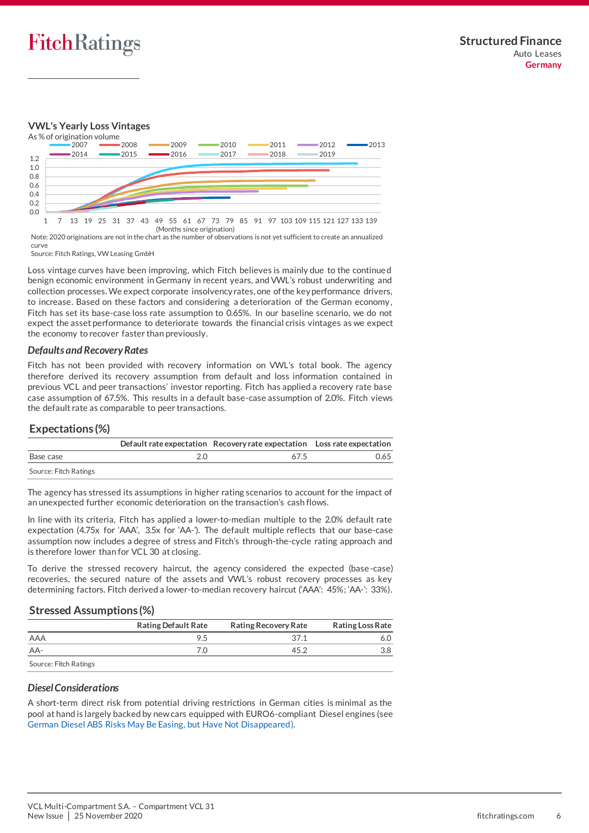

#### **VWL's Yearly Loss Vintages**



Note: 2020 originations are not in the chart as the number of observations is not yet sufficient to create an annualized curve

Source: Fitch Ratings, VW Leasing GmbH

Loss vintage curves have been improving, which Fitch believes is mainly due to the continue d benign economic environment in Germany in recent years, and VWL's robust underwriting and collection processes. We expect corporate insolvency rates, one of the key performance drivers, to increase. Based on these factors and considering a deterioration of the German economy , Fitch has set its base-case loss rate assumption to 0.65%. In our baseline scenario, we do not expect the asset performance to deteriorate towards the financial crisis vintages as we expect the economy to recover faster than previously.

#### *Defaults and Recovery Rates*

Fitch has not been provided with recovery information on VWL's total book. The agency therefore derived its recovery assumption from default and loss information contained in previous VCL and peer transactions' investor reporting. Fitch has applied a recovery rate base case assumption of 67.5%. This results in a default base-case assumption of 2.0%. Fitch views the default rate as comparable to peer transactions.

#### **Expectations (%)**

|                       | Default rate expectation Recovery rate expectation Loss rate expectation |      |
|-----------------------|--------------------------------------------------------------------------|------|
| Base case             | 675                                                                      | 0.65 |
| Source: Fitch Ratings |                                                                          |      |

The agency has stressed its assumptions in higher rating scenarios to account for the impact of an unexpected further economic deterioration on the transaction's cash flows.

In line with its criteria, Fitch has applied a lower-to-median multiple to the 2.0% default rate expectation (4.75x for 'AAA', 3.5x for 'AA-'). The default multiple reflects that our base-case assumption now includes a degree of stress and Fitch's through-the-cycle rating approach and is therefore lower than for VCL 30 at closing.

To derive the stressed recovery haircut, the agency considered the expected (base-case) recoveries, the secured nature of the assets and VWL's robust recovery processes as key determining factors. Fitch derived a lower-to-median recovery haircut ('AAA': 45%; 'AA-': 33%).

#### **Stressed Assumptions (%)**

|                       | <b>Rating Default Rate</b> | <b>Rating Recovery Rate</b> | <b>Rating Loss Rate</b> |
|-----------------------|----------------------------|-----------------------------|-------------------------|
| AAA                   | 9.5                        | 37 1                        | 5.0                     |
| AA-                   |                            | 45.2                        | 3.8                     |
| Source: Fitch Ratings |                            |                             |                         |

#### *Diesel Considerations*

A short-term direct risk from potential driving restrictions in German cities is minimal as the pool at hand is largely backed by new cars equipped with EURO6-compliant Diesel engines (see [German Diesel ABS Risks May Be Easing, but Have Not Disappeared\).](https://app.fitchconnect.com/search/research/article/PR_10066989)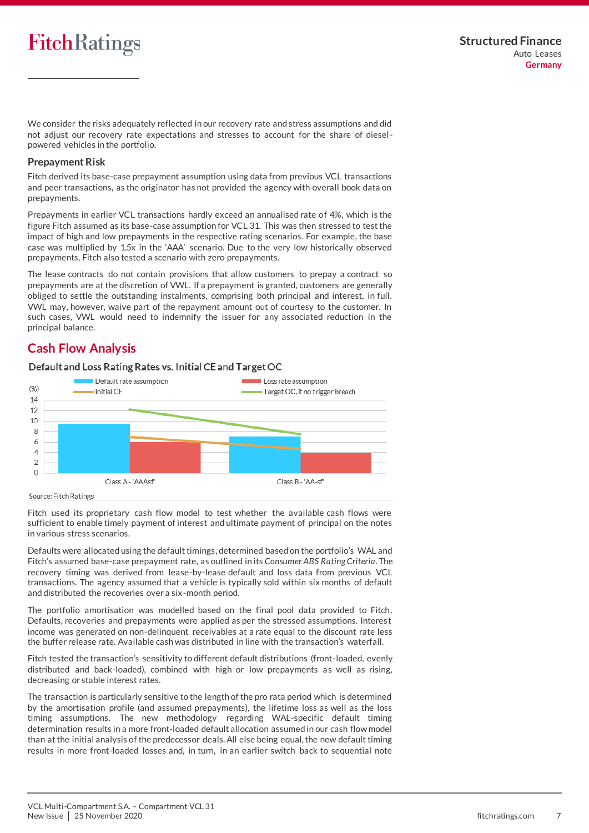We consider the risks adequately reflected in our recovery rate and stress assumptions and did not adjust our recovery rate expectations and stresses to account for the share of dieselpowered vehicles in the portfolio.

#### **Prepayment Risk**

Fitch derived its base-case prepayment assumption using data from previous VCL transactions and peer transactions, as the originator has not provided the agency with overall book data on prepayments.

Prepayments in earlier VCL transactions hardly exceed an annualised rate of 4%, which is the figure Fitch assumed as its base-case assumption for VCL 31. This was then stressed to test the impact of high and low prepayments in the respective rating scenarios. For example, the base case was multiplied by 1.5x in the 'AAA' scenario. Due to the very low historically observed prepayments, Fitch also tested a scenario with zero prepayments.

The lease contracts do not contain provisions that allow customers to prepay a contract so prepayments are at the discretion of VWL. If a prepayment is granted, customers are generally obliged to settle the outstanding instalments, comprising both principal and interest, in full. VWL may, however, waive part of the repayment amount out of courtesy to the customer. In such cases, VWL would need to indemnify the issuer for any associated reduction in the principal balance.

## <span id="page-6-0"></span>**Cash Flow Analysis**

#### Default and Loss Rating Rates vs. Initial CE and Target OC



#### Source: Fitch Ratings

Fitch used its proprietary cash flow model to test whether the available cash flows were sufficient to enable timely payment of interest and ultimate payment of principal on the notes in various stress scenarios.

Defaults were allocated using the default timings, determined based on the portfolio's WAL and Fitch's assumed base-case prepayment rate, as outlined in its *Consumer ABS Rating Criteria*. The recovery timing was derived from lease-by-lease default and loss data from previous VCL transactions. The agency assumed that a vehicle is typically sold within six months of default and distributed the recoveries over a six-month period.

The portfolio amortisation was modelled based on the final pool data provided to Fitch. Defaults, recoveries and prepayments were applied as per the stressed assumptions. Interes t income was generated on non-delinquent receivables at a rate equal to the discount rate less the buffer release rate. Available cash was distributed in line with the transaction's waterfall.

Fitch tested the transaction's sensitivity to different default distributions (front-loaded, evenly distributed and back-loaded), combined with high or low prepayments as well as rising, decreasing or stable interest rates.

The transaction is particularly sensitive to the length of the pro rata period which is determined by the amortisation profile (and assumed prepayments), the lifetime loss as well as the loss timing assumptions. The new methodology regarding WAL-specific default timing determination results in a more front-loaded default allocation assumed in our cash flow model than at the initial analysis of the predecessor deals. All else being equal, the new default timing results in more front-loaded losses and, in turn, in an earlier switch back to sequential note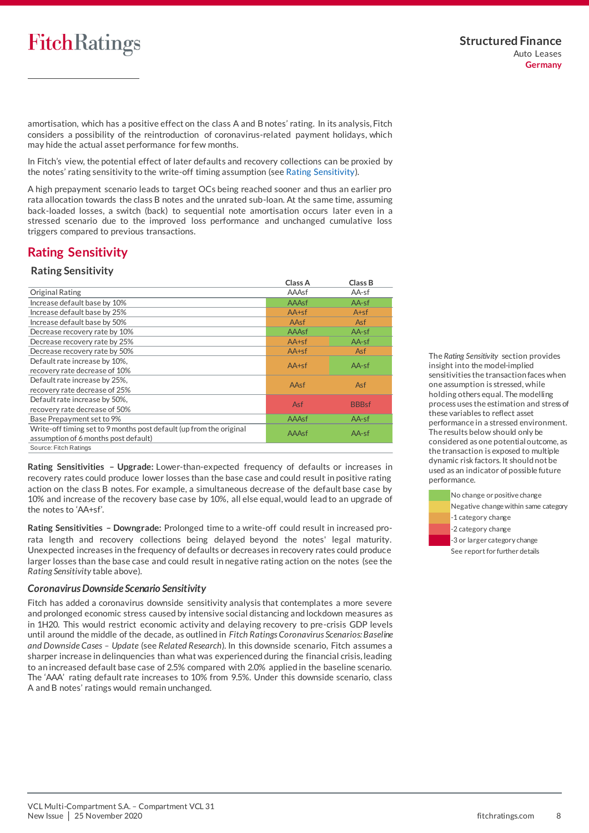amortisation, which has a positive effect on the class A and B notes' rating. In its analysis, Fitch considers a possibility of the reintroduction of coronavirus-related payment holidays, which may hide the actual asset performance for few months.

In Fitch's view, the potential effect of later defaults and recovery collections can be proxied by the notes' rating sensitivity to the write-off timing assumption (se[e Rating Sensitivity\)](#page-7-0).

A high prepayment scenario leads to target OCs being reached sooner and thus an earlier pro rata allocation towards the class B notes and the unrated sub-loan. At the same time, assuming back-loaded losses, a switch (back) to sequential note amortisation occurs later even in a stressed scenario due to the improved loss performance and unchanged cumulative loss triggers compared to previous transactions.

## <span id="page-7-0"></span>**Rating Sensitivity**

#### **Rating Sensitivity**

|                                                                     | Class A    | Class B      |
|---------------------------------------------------------------------|------------|--------------|
| <b>Original Rating</b>                                              | AAAsf      | AA-sf        |
| Increase default base by 10%                                        | AAAsf      | $AA-sf$      |
| Increase default base by 25%                                        | $AA+sf$    | $A + sf$     |
| Increase default base by 50%                                        | AAsf       | <b>Asf</b>   |
| Decrease recovery rate by 10%                                       | AAAsf      | $AA-sf$      |
| Decrease recovery rate by 25%                                       | $AA+sf$    | AA-sf        |
| Decrease recovery rate by 50%                                       | $AA+sf$    | <b>Asf</b>   |
| Default rate increase by 10%,                                       | $AA+sf$    | $AA-sf$      |
| recovery rate decrease of 10%                                       |            |              |
| Default rate increase by 25%,                                       | AAsf       | <b>Asf</b>   |
| recovery rate decrease of 25%                                       |            |              |
| Default rate increase by 50%,                                       | <b>Asf</b> | <b>BBBsf</b> |
| recovery rate decrease of 50%                                       |            |              |
| Base Prepayment set to 9%                                           | AAAsf      | $AA-sf$      |
| Write-off timing set to 9 months post default (up from the original | AAAsf      | $AA-sf$      |
| assumption of 6 months post default)                                |            |              |
| Source: Fitch Ratings                                               |            |              |

**Rating Sensitivities – Upgrade:** Lower-than-expected frequency of defaults or increases in recovery rates could produce lower losses than the base case and could result in positive rating action on the class B notes. For example, a simultaneous decrease of the default base case by 10% and increase of the recovery base case by 10%, all else equal, would lead to an upgrade of the notes to 'AA+sf'.

**Rating Sensitivities – Downgrade:** Prolonged time to a write-off could result in increased prorata length and recovery collections being delayed beyond the notes' legal maturity. Unexpected increases in the frequency of defaults or decreases in recovery rates could produce larger losses than the base case and could result in negative rating action on the notes (see the *Rating Sensitivity* table above).

#### *Coronavirus Downside Scenario Sensitivity*

Fitch has added a coronavirus downside sensitivity analysis that contemplates a more severe and prolonged economic stress caused by intensive social distancing and lockdown measures as in 1H20. This would restrict economic activity and delaying recovery to pre-crisis GDP levels until around the middle of the decade, as outlined in *Fitch Ratings Coronavirus Scenarios: Baseline and Downside Cases – Update* (see *Related Research*). In this downside scenario, Fitch assumes a sharper increase in delinquencies than what was experienced during the financial crisis, leading to an increased default base case of 2.5% compared with 2.0% applied in the baseline scenario. The 'AAA' rating default rate increases to 10% from 9.5%. Under this downside scenario, class A and B notes' ratings would remain unchanged.

The *Rating Sensitivity* section provides insight into the model-implied sensitivities the transaction faces when one assumption is stressed, while holding others equal. The modelling process uses the estimation and stress of these variables to reflect asset performance in a stressed environment. The results below should only be considered as one potential outcome, as the transaction is exposed to multiple dynamic risk factors. It should not be used as an indicator of possible future performance.

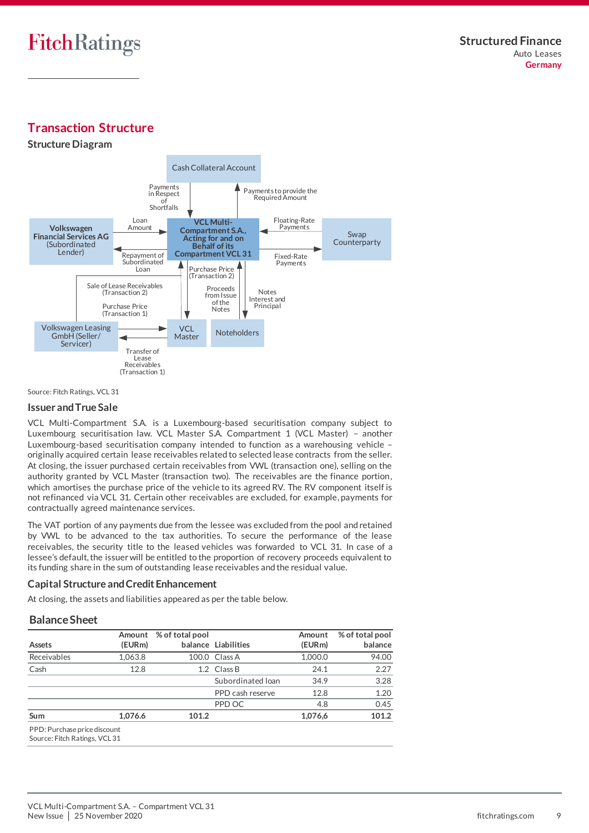# <span id="page-8-0"></span>**Transaction Structure**





Source: Fitch Ratings, VCL 31

#### **Issuer and True Sale**

VCL Multi-Compartment S.A. is a Luxembourg-based securitisation company subject to Luxembourg securitisation law. VCL Master S.A. Compartment 1 (VCL Master) – another Luxembourg-based securitisation company intended to function as a warehousing vehicle – originally acquired certain lease receivables related to selected lease contracts from the seller. At closing, the issuer purchased certain receivables from VWL (transaction one), selling on the authority granted by VCL Master (transaction two). The receivables are the finance portion, which amortises the purchase price of the vehicle to its agreed RV. The RV component itself is not refinanced via VCL 31. Certain other receivables are excluded, for example, payments for contractually agreed maintenance services.

The VAT portion of any payments due from the lessee was excluded from the pool and retained by VWL to be advanced to the tax authorities. To secure the performance of the lease receivables, the security title to the leased vehicles was forwarded to VCL 31. In case of a lessee's default, the issuer will be entitled to the proportion of recovery proceeds equivalent to its funding share in the sum of outstanding lease receivables and the residual value.

#### <span id="page-8-1"></span>**Capital Structure and Credit Enhancement**

At closing, the assets and liabilities appeared as per the table below.

#### **Balance Sheet**

| Assets                                                        | Amount<br>(EURm) | % of total pool | balance Liabilities | Amount<br>(EURm) | % of total pool<br>balance |
|---------------------------------------------------------------|------------------|-----------------|---------------------|------------------|----------------------------|
| Receivables                                                   | 1,063.8          |                 | 100.0 Class A       | 1,000.0          | 94.00                      |
| Cash                                                          | 12.8             |                 | 1.2 Class B         | 24.1             | 2.27                       |
|                                                               |                  |                 | Subordinated Ioan   | 34.9             | 3.28                       |
|                                                               |                  |                 | PPD cash reserve    | 12.8             | 1.20                       |
|                                                               |                  |                 | PPD OC              | 4.8              | 0.45                       |
| <b>Sum</b>                                                    | 1.076.6          | 101.2           |                     | 1.076.6          | 101.2                      |
| PPD: Purchase price discount<br>Source: Fitch Ratings, VCL 31 |                  |                 |                     |                  |                            |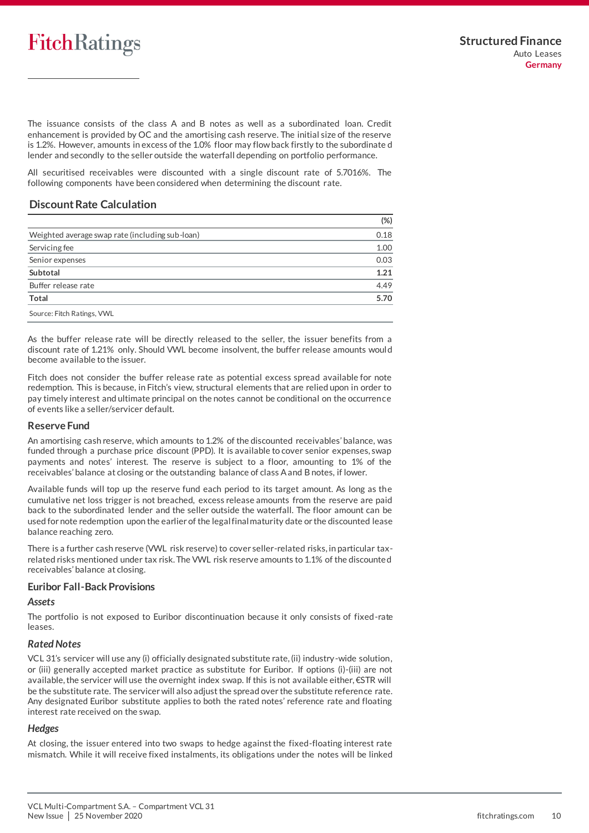The issuance consists of the class A and B notes as well as a subordinated loan. Credit enhancement is provided by OC and the amortising cash reserve. The initial size of the reserve is 1.2%. However, amounts in excess of the 1.0% floor may flow back firstly to the subordinate d lender and secondly to the seller outside the waterfall depending on portfolio performance.

All securitised receivables were discounted with a single discount rate of 5.7016%. The following components have been considered when determining the discount rate.

#### **Discount Rate Calculation**

|                                                 | $(\%)$ |
|-------------------------------------------------|--------|
| Weighted average swap rate (including sub-loan) | 0.18   |
| Servicing fee                                   | 1.00   |
| Senior expenses                                 | 0.03   |
| Subtotal                                        | 1.21   |
| Buffer release rate                             | 4.49   |
| <b>Total</b>                                    | 5.70   |
| Source: Fitch Ratings, VWL                      |        |

As the buffer release rate will be directly released to the seller, the issuer benefits from a discount rate of 1.21% only. Should VWL become insolvent, the buffer release amounts woul d become available to the issuer.

Fitch does not consider the buffer release rate as potential excess spread available for note redemption. This is because, in Fitch's view, structural elements that are relied upon in order to pay timely interest and ultimate principal on the notes cannot be conditional on the occurrence of events like a seller/servicer default.

#### **Reserve Fund**

An amortising cash reserve, which amounts to 1.2% of the discounted receivables' balance, was funded through a purchase price discount (PPD). It is available to cover senior expenses, swap payments and notes' interest. The reserve is subject to a floor, amounting to 1% of the receivables' balance at closing or the outstanding balance of class A and B notes, if lower.

Available funds will top up the reserve fund each period to its target amount. As long as the cumulative net loss trigger is not breached, excess release amounts from the reserve are paid back to the subordinated lender and the seller outside the waterfall. The floor amount can be used for note redemption upon the earlier of the legal final maturity date or the discounted lease balance reaching zero.

There is a further cash reserve (VWL risk reserve) to cover seller-related risks, in particular taxrelated risks mentioned under tax risk. The VWL risk reserve amounts to 1.1% of the discounte d receivables' balance at closing.

#### <span id="page-9-0"></span>**Euribor Fall-Back Provisions**

#### *Assets*

The portfolio is not exposed to Euribor discontinuation because it only consists of fixed-rate leases.

#### *Rated Notes*

VCL 31's servicer will use any (i) officially designated substitute rate, (ii) industry-wide solution, or (iii) generally accepted market practice as substitute for Euribor. If options (i)-(iii) are not available, the servicer will use the overnight index swap. If this is not available either, €STR will be the substitute rate. The servicer will also adjust the spread over the substitute reference rate. Any designated Euribor substitute applies to both the rated notes' reference rate and floating interest rate received on the swap.

#### *Hedges*

At closing, the issuer entered into two swaps to hedge against the fixed-floating interest rate mismatch. While it will receive fixed instalments, its obligations under the notes will be linked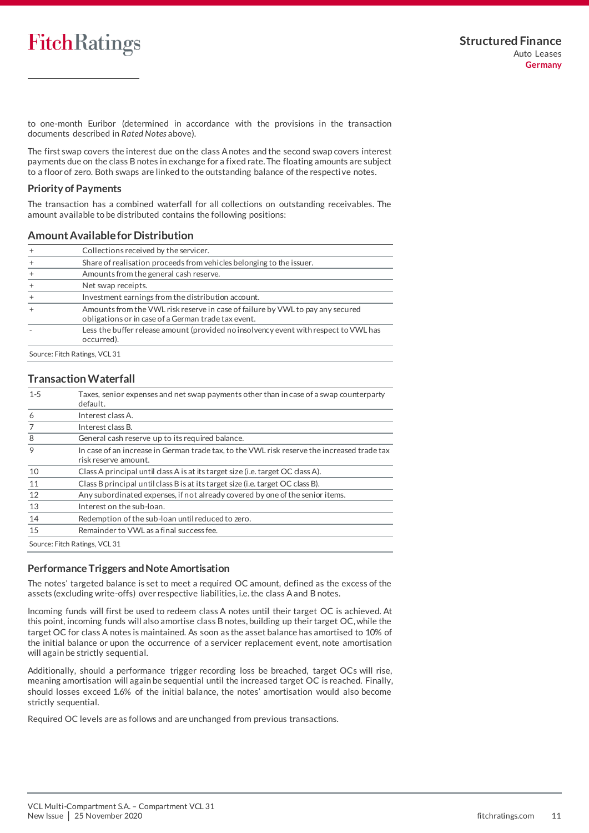to one-month Euribor (determined in accordance with the provisions in the transaction documents described in *Rated Notes* above).

The first swap covers the interest due on the class A notes and the second swap covers interest payments due on the class B notes in exchange for a fixed rate. The floating amounts are subject to a floor of zero. Both swaps are linked to the outstanding balance of the respective notes.

#### **Priority of Payments**

The transaction has a combined waterfall for all collections on outstanding receivables. The amount available to be distributed contains the following positions:

#### **Amount Available for Distribution**

|                               | Collections received by the servicer.                                                                                                 |
|-------------------------------|---------------------------------------------------------------------------------------------------------------------------------------|
|                               | Share of realisation proceeds from vehicles belonging to the issuer.                                                                  |
|                               | Amounts from the general cash reserve.                                                                                                |
|                               | Net swap receipts.                                                                                                                    |
|                               | Investment earnings from the distribution account.                                                                                    |
|                               | Amounts from the VWL risk reserve in case of failure by VWL to pay any secured<br>obligations or in case of a German trade tax event. |
|                               | Less the buffer release amount (provided no insolvency event with respect to VWL has<br>occurred).                                    |
| Source: Fitch Ratings, VCL 31 |                                                                                                                                       |

#### **Transaction Waterfall**

| $1 - 5$ | Taxes, senior expenses and net swap payments other than in case of a swap counterparty<br>default.                  |  |  |  |  |  |
|---------|---------------------------------------------------------------------------------------------------------------------|--|--|--|--|--|
| 6       | Interest class A.                                                                                                   |  |  |  |  |  |
| 7       | Interest class B.                                                                                                   |  |  |  |  |  |
| 8       | General cash reserve up to its required balance.                                                                    |  |  |  |  |  |
| 9       | In case of an increase in German trade tax, to the VWL risk reserve the increased trade tax<br>risk reserve amount. |  |  |  |  |  |
| 10      | Class A principal until class A is at its target size (i.e. target OC class A).                                     |  |  |  |  |  |
| 11      | Class B principal until class B is at its target size (i.e. target OC class B).                                     |  |  |  |  |  |
| 12      | Any subordinated expenses, if not already covered by one of the senior items.                                       |  |  |  |  |  |
| 13      | Interest on the sub-loan.                                                                                           |  |  |  |  |  |
| 14      | Redemption of the sub-loan until reduced to zero.                                                                   |  |  |  |  |  |
| 15      | Remainder to VWL as a final success fee.                                                                            |  |  |  |  |  |
|         | Source: Fitch Ratings, VCL 31                                                                                       |  |  |  |  |  |

#### **Performance Triggers and Note Amortisation**

The notes' targeted balance is set to meet a required OC amount, defined as the excess of the assets (excluding write-offs) over respective liabilities, i.e. the class A and B notes.

Incoming funds will first be used to redeem class A notes until their target OC is achieved. At this point, incoming funds will also amortise class B notes, building up their target OC, while the target OC for class A notes is maintained. As soon as the asset balance has amortised to 10% of the initial balance or upon the occurrence of a servicer replacement event, note amortisation will again be strictly sequential.

Additionally, should a performance trigger recording loss be breached, target OCs will rise, meaning amortisation will again be sequential until the increased target OC is reached. Finally, should losses exceed 1.6% of the initial balance, the notes' amortisation would also become strictly sequential.

Required OC levels are as follows and are unchanged from previous transactions.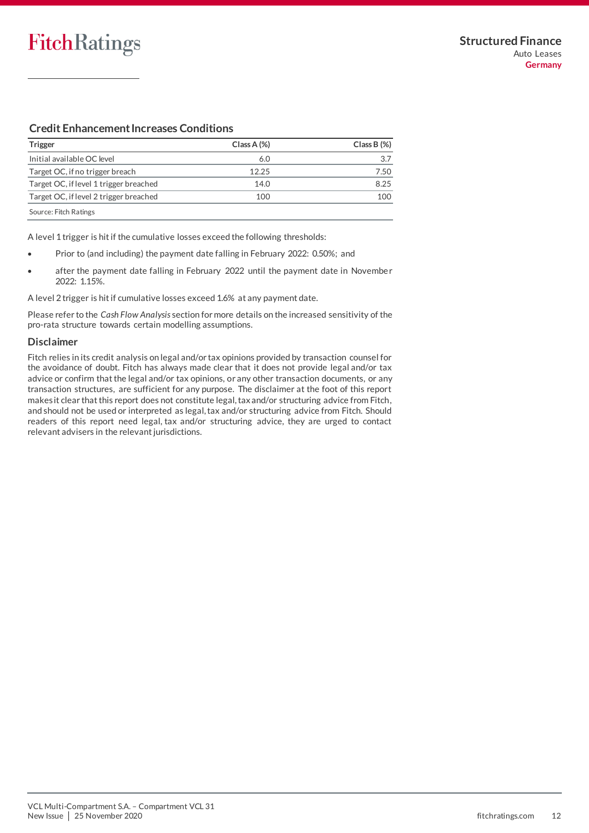## **Credit Enhancement Increases Conditions**

| Trigger                                | $Class A (\%)$ | $Class B (\%)$ |
|----------------------------------------|----------------|----------------|
| Initial available OC level             | 6.0            | 3.7            |
| Target OC, if no trigger breach        | 12.25          | 7.50           |
| Target OC, if level 1 trigger breached | 14.0           | 8.25           |
| Target OC, if level 2 trigger breached | 100            | 100            |
| Source: Fitch Ratings                  |                |                |

A level 1 trigger is hit if the cumulative losses exceed the following thresholds:

- Prior to (and including) the payment date falling in February 2022: 0.50%; and
- after the payment date falling in February 2022 until the payment date in November 2022: 1.15%.

A level 2 trigger is hit if cumulative losses exceed 1.6% at any payment date.

Please refer to the *Cash Flow Analysis* section for more details on the increased sensitivity of the pro-rata structure towards certain modelling assumptions.

#### **Disclaimer**

<span id="page-11-0"></span>Fitch relies in its credit analysis on legal and/or tax opinions provided by transaction counsel for the avoidance of doubt. Fitch has always made clear that it does not provide legal and/or tax advice or confirm that the legal and/or tax opinions, or any other transaction documents, or any transaction structures, are sufficient for any purpose. The disclaimer at the foot of this report makes it clear that this report does not constitute legal, tax and/or structuring advice from Fitch, and should not be used or interpreted as legal, tax and/or structuring advice from Fitch. Should readers of this report need legal, tax and/or structuring advice, they are urged to contact relevant advisers in the relevant jurisdictions.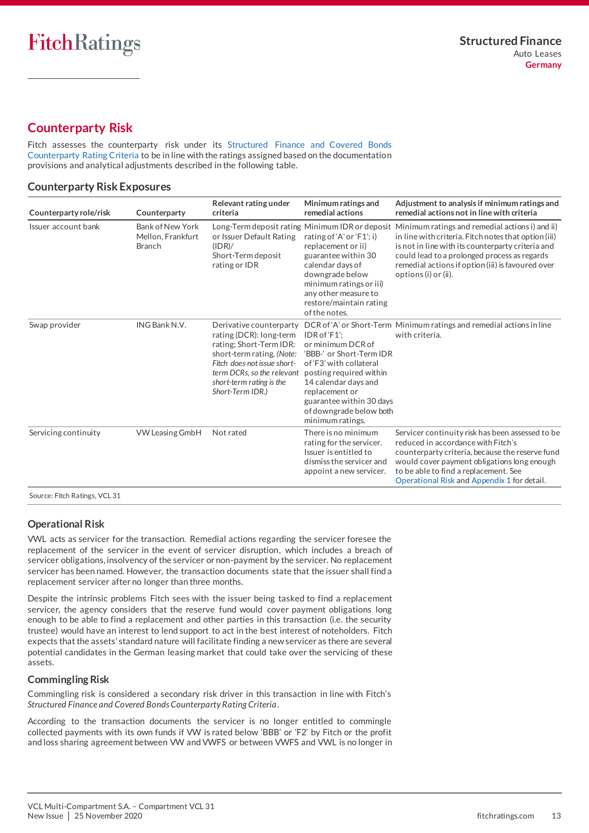## <span id="page-12-0"></span>**Counterparty Risk**

Fitch assesses the counterparty risk under its [Structured Finance and Covered Bonds](https://app.fitchconnect.com/search/research/article/RPT_10108544)  [Counterparty Rating Criteria](https://app.fitchconnect.com/search/research/article/RPT_10108544) to be in line with the ratings assigned based on the documentation provisions and analytical adjustments described in the following table.

#### **Counterparty Risk Exposures**

| Counterparty role/risk | Counterparty                                                  | Relevant rating under<br>criteria                                                                                                                                                                                       | Minimum ratings and<br>remedial actions                                                                                                                                                                                                   | Adjustment to analysis if minimum ratings and<br>remedial actions not in line with criteria                                                                                                                                                                                                                                               |
|------------------------|---------------------------------------------------------------|-------------------------------------------------------------------------------------------------------------------------------------------------------------------------------------------------------------------------|-------------------------------------------------------------------------------------------------------------------------------------------------------------------------------------------------------------------------------------------|-------------------------------------------------------------------------------------------------------------------------------------------------------------------------------------------------------------------------------------------------------------------------------------------------------------------------------------------|
| Issuer account bank    | <b>Bank of New York</b><br>Mellon, Frankfurt<br><b>Branch</b> | or Issuer Default Rating<br>(IDR)<br>Short-Term deposit<br>rating or IDR                                                                                                                                                | rating of 'A' or 'F1'; i)<br>replacement or ii)<br>guarantee within 30<br>calendar days of<br>downgrade below<br>minimum ratings or iii)<br>any other measure to<br>restore/maintain rating<br>of the notes.                              | Long-Term deposit rating Minimum IDR or deposit Minimum ratings and remedial actions i) and ii)<br>in line with criteria. Fitch notes that option (iii)<br>is not in line with its counterparty criteria and<br>could lead to a prolonged process as regards<br>remedial actions if option (iii) is favoured over<br>options (i) or (ii). |
| Swap provider          | ING Bank N.V.                                                 | Derivative counterparty<br>rating (DCR): long-term<br>rating; Short-Term IDR:<br>short-term rating. (Note:<br>Fitch does not issue short-<br>term DCRs, so the relevant<br>short-term rating is the<br>Short-Term IDR.) | $IDRotf$ F1':<br>or minimum DCR of<br>'BBB-' or Short-Term IDR<br>of 'F3' with collateral<br>posting required within<br>14 calendar days and<br>replacement or<br>guarantee within 30 days<br>of downgrade below both<br>minimum ratings. | DCR of 'A' or Short-Term Minimum ratings and remedial actions in line<br>with criteria.                                                                                                                                                                                                                                                   |
| Servicing continuity   | <b>VW Leasing GmbH</b>                                        | Not rated                                                                                                                                                                                                               | There is no minimum<br>rating for the servicer.<br>Issuer is entitled to<br>dismiss the servicer and<br>appoint a new servicer.                                                                                                           | Servicer continuity risk has been assessed to be<br>reduced in accordance with Fitch's<br>counterparty criteria, because the reserve fund<br>would cover payment obligations long enough<br>to be able to find a replacement. See<br>Operational Risk and Appendix 1 for detail.                                                          |
|                        |                                                               |                                                                                                                                                                                                                         |                                                                                                                                                                                                                                           |                                                                                                                                                                                                                                                                                                                                           |

Source: Fitch Ratings, VCL 31

#### <span id="page-12-2"></span>**Operational Risk**

VWL acts as servicer for the transaction. Remedial actions regarding the servicer foresee the replacement of the servicer in the event of servicer disruption, which includes a breach of servicer obligations, insolvency of the servicer or non-payment by the servicer. No replacement servicer has been named. However, the transaction documents state that the issuer shall find a replacement servicer after no longer than three months.

Despite the intrinsic problems Fitch sees with the issuer being tasked to find a replacement servicer, the agency considers that the reserve fund would cover payment obligations long enough to be able to find a replacement and other parties in this transaction (i.e. the security trustee) would have an interest to lend support to act in the best interest of noteholders. Fitch expects that the assets' standard nature will facilitate finding a new servicer as there are several potential candidates in the German leasing market that could take over the servicing of these assets.

#### <span id="page-12-1"></span>**Commingling Risk**

Commingling risk is considered a secondary risk driver in this transaction in line with Fitch's *Structured Finance and Covered Bonds Counterparty Rating Criteria*.

According to the transaction documents the servicer is no longer entitled to commingle collected payments with its own funds if VW is rated below 'BBB' or 'F2' by Fitch or the profit and loss sharing agreement between VW and VWFS or between VWFS and VWL is no longer in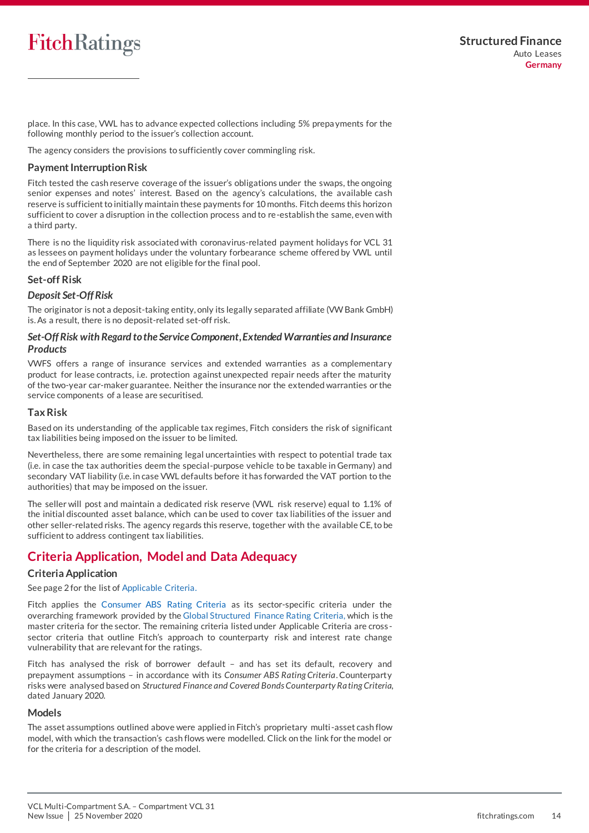place. In this case, VWL has to advance expected collections including 5% prepa yments for the following monthly period to the issuer's collection account.

The agency considers the provisions to sufficiently cover commingling risk.

#### <span id="page-13-1"></span>**Payment Interruption Risk**

Fitch tested the cash reserve coverage of the issuer's obligations under the swaps, the ongoing senior expenses and notes' interest. Based on the agency's calculations, the available cash reserve is sufficient to initially maintain these payments for 10 months. Fitch deems this horizon sufficient to cover a disruption in the collection process and to re-establish the same, even with a third party.

There is no the liquidity risk associated with coronavirus-related payment holidays for VCL 31 as lessees on payment holidays under the voluntary forbearance scheme offered by VWL until the end of September 2020 are not eligible for the final pool.

#### **Set-off Risk**

#### *Deposit Set-Off Risk*

The originator is not a deposit-taking entity, only its legally separated affiliate (VW Bank GmbH) is. As a result, there is no deposit-related set-off risk.

#### *Set-Off Risk with Regard to the Service Component, Extended Warranties and Insurance Products*

VWFS offers a range of insurance services and extended warranties as a complementary product for lease contracts, i.e. protection against unexpected repair needs after the maturity of the two-year car-maker guarantee. Neither the insurance nor the extended warranties or the service components of a lease are securitised.

#### **Tax Risk**

Based on its understanding of the applicable tax regimes, Fitch considers the risk of significant tax liabilities being imposed on the issuer to be limited.

Nevertheless, there are some remaining legal uncertainties with respect to potential trade tax (i.e. in case the tax authorities deem the special-purpose vehicle to be taxable in Germany) and secondary VAT liability (i.e. in case VWL defaults before it has forwarded the VAT portion to the authorities) that may be imposed on the issuer.

The seller will post and maintain a dedicated risk reserve (VWL risk reserve) equal to 1.1% of the initial discounted asset balance, which can be used to cover tax liabilities of the issuer and other seller-related risks. The agency regards this reserve, together with the available CE, to be sufficient to address contingent tax liabilities.

## <span id="page-13-0"></span>**Criteria Application, Model and Data Adequacy**

#### **Criteria Application**

See page 2 for the list of Applicable Criteria.

Fitch applies the [Consumer ABS Rating Criteria](https://app.fitchconnect.com/search/research/article/RPT_10142225) as its sector-specific criteria under the overarching framework provided by the [Global Structured Finance Rating Criteria,](https://app.fitchconnect.com/search/research/article/RPT_10126475) which is the master criteria for the sector. The remaining criteria listed under Applicable Criteria are cross sector criteria that outline Fitch's approach to counterparty risk and interest rate change vulnerability that are relevant for the ratings.

Fitch has analysed the risk of borrower default – and has set its default, recovery and prepayment assumptions – in accordance with its *Consumer ABS Rating Criteria*. Counterparty risks were analysed based on *Structured Finance and Covered Bonds Counterparty Rating Criteria*, dated January 2020.

#### **Models**

The asset assumptions outlined above were applied in Fitch's proprietary multi-asset cash flow model, with which the transaction's cash flows were modelled. Click on the link for the model or for the criteria for a description of the model.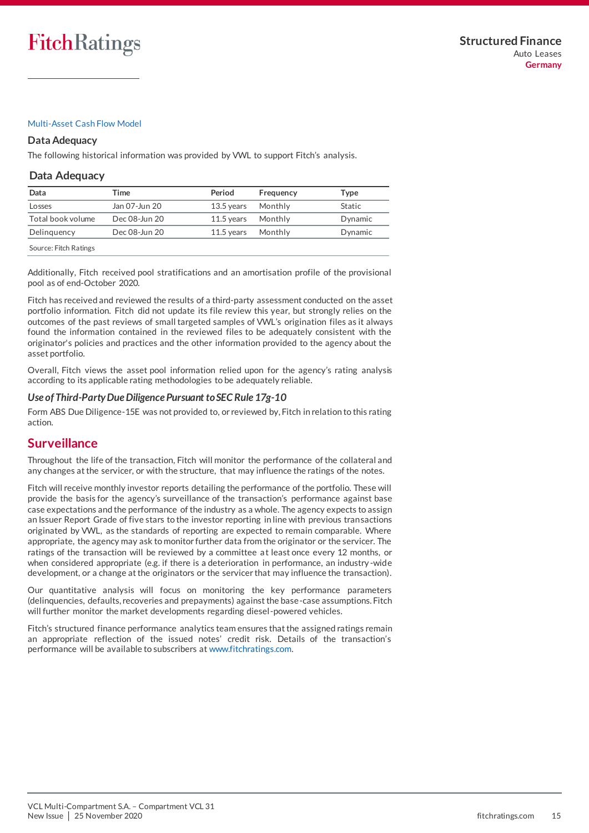#### [Multi-Asset Cash Flow Model](https://www.fitchratings.com/site/structuredfinance/emeacfm)

#### **Data Adequacy**

The following historical information was provided by VWL to support Fitch's analysis.

#### **Data Adequacy**

| Data                        | Time          | Period       | Frequency | Type    |
|-----------------------------|---------------|--------------|-----------|---------|
| Losses                      | Jan 07-Jun 20 | $13.5$ vears | Monthly   | Static  |
| Total book volume           | Dec 08-Jun 20 | $11.5$ vears | Monthly   | Dynamic |
| Delinguency                 | Dec 08-Jun 20 | $11.5$ vears | Monthly   | Dynamic |
| Company Finale Distribution |               |              |           |         |

Source: Fitch Ratings

Additionally, Fitch received pool stratifications and an amortisation profile of the provisional pool as of end-October 2020.

Fitch has received and reviewed the results of a third-party assessment conducted on the asset portfolio information. Fitch did not update its file review this year, but strongly relies on the outcomes of the past reviews of small targeted samples of VWL's origination files as it always found the information contained in the reviewed files to be adequately consistent with the originator's policies and practices and the other information provided to the agency about the asset portfolio.

Overall, Fitch views the asset pool information relied upon for the agency's rating analysis according to its applicable rating methodologies to be adequately reliable.

#### *Use of Third-Party Due Diligence Pursuant to SEC Rule 17g-10*

Form ABS Due Diligence-15E was not provided to, or reviewed by, Fitch in relation to this rating action.

## <span id="page-14-0"></span>**Surveillance**

Throughout the life of the transaction, Fitch will monitor the performance of the collateral and any changes at the servicer, or with the structure, that may influence the ratings of the notes.

Fitch will receive monthly investor reports detailing the performance of the portfolio. These will provide the basis for the agency's surveillance of the transaction's performance against base case expectations and the performance of the industry as a whole. The agency expects to assign an Issuer Report Grade of five stars to the investor reporting in line with previous transactions originated by VWL, as the standards of reporting are expected to remain comparable. Where appropriate, the agency may ask to monitor further data from the originator or the servicer. The ratings of the transaction will be reviewed by a committee at least once every 12 months, or when considered appropriate (e.g. if there is a deterioration in performance, an industry -wide development, or a change at the originators or the servicer that may influence the transaction).

Our quantitative analysis will focus on monitoring the key performance parameters (delinquencies, defaults, recoveries and prepayments) against the base-case assumptions. Fitch will further monitor the market developments regarding diesel-powered vehicles.

Fitch's structured finance performance analytics team ensures that the assigned ratings remain an appropriate reflection of the issued notes' credit risk. Details of the transaction's performance will be available to subscribers a[t www.fitchratings.com.](file://///colo-lonfrcel01/Infoserv_Archive/10141039/www.fitchratings.com)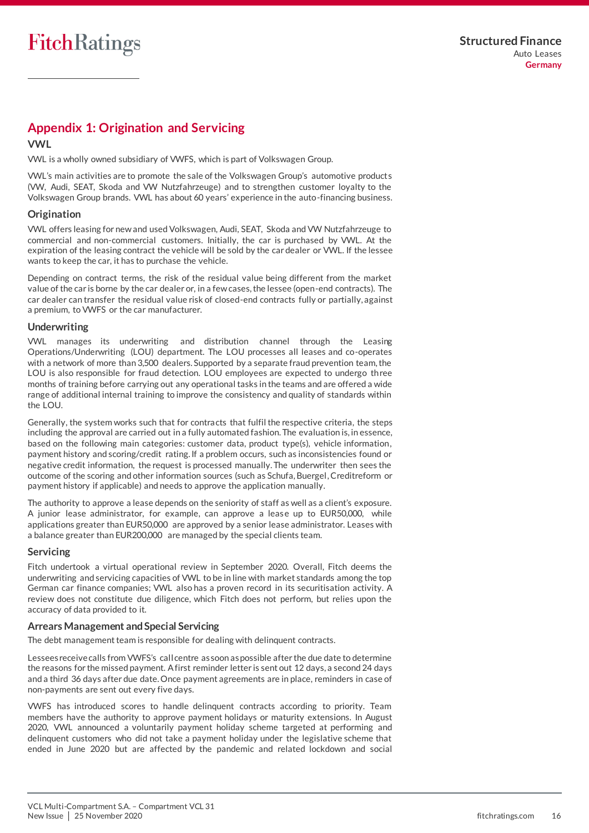## <span id="page-15-0"></span>**Appendix 1: Origination and Servicing**

#### **VWL**

VWL is a wholly owned subsidiary of VWFS, which is part of Volkswagen Group.

VWL's main activities are to promote the sale of the Volkswagen Group's automotive products (VW, Audi, SEAT, Skoda and VW Nutzfahrzeuge) and to strengthen customer loyalty to the Volkswagen Group brands. VWL has about 60 years' experience in the auto-financing business.

#### **Origination**

VWL offers leasing for new and used Volkswagen, Audi, SEAT, Skoda and VW Nutzfahrzeuge to commercial and non-commercial customers. Initially, the car is purchased by VWL. At the expiration of the leasing contract the vehicle will be sold by the car dealer or VWL. If the lessee wants to keep the car, it has to purchase the vehicle.

Depending on contract terms, the risk of the residual value being different from the market value of the car is borne by the car dealer or, in a few cases, the lessee (open-end contracts). The car dealer can transfer the residual value risk of closed-end contracts fully or partially, against a premium, to VWFS or the car manufacturer.

#### **Underwriting**

VWL manages its underwriting and distribution channel through the Leasing Operations/Underwriting (LOU) department. The LOU processes all leases and co-operates with a network of more than 3,500 dealers. Supported by a separate fraud prevention team, the LOU is also responsible for fraud detection. LOU employees are expected to undergo three months of training before carrying out any operational tasks in the teams and are offered a wide range of additional internal training to improve the consistency and quality of standards within the LOU.

Generally, the system works such that for contracts that fulfil the respective criteria, the steps including the approval are carried out in a fully automated fashion. The evaluation is, in essence, based on the following main categories: customer data, product type(s), vehicle information, payment history and scoring/credit rating. If a problem occurs, such as inconsistencies found or negative credit information, the request is processed manually. The underwriter then sees the outcome of the scoring and other information sources (such as Schufa, Buergel, Creditreform or payment history if applicable) and needs to approve the application manually.

The authority to approve a lease depends on the seniority of staff as well as a client's exposure. A junior lease administrator, for example, can approve a lease up to EUR50,000, while applications greater than EUR50,000 are approved by a senior lease administrator. Leases with a balance greater than EUR200,000 are managed by the special clients team.

#### **Servicing**

Fitch undertook a virtual operational review in September 2020. Overall, Fitch deems the underwriting and servicing capacities of VWL to be in line with market standards among the top German car finance companies; VWL also has a proven record in its securitisation activity. A review does not constitute due diligence, which Fitch does not perform, but relies upon the accuracy of data provided to it.

#### **Arrears Management and Special Servicing**

The debt management team is responsible for dealing with delinquent contracts.

Lessees receive calls from VWFS's call centre as soon as possible after the due date to determine the reasons for the missed payment. A first reminder letter is sent out 12 days, a second 24 days and a third 36 days after due date. Once payment agreements are in place, reminders in case of non-payments are sent out every five days.

VWFS has introduced scores to handle delinquent contracts according to priority. Team members have the authority to approve payment holidays or maturity extensions. In August 2020, VWL announced a voluntarily payment holiday scheme targeted at performing and delinquent customers who did not take a payment holiday under the legislative scheme that ended in June 2020 but are affected by the pandemic and related lockdown and social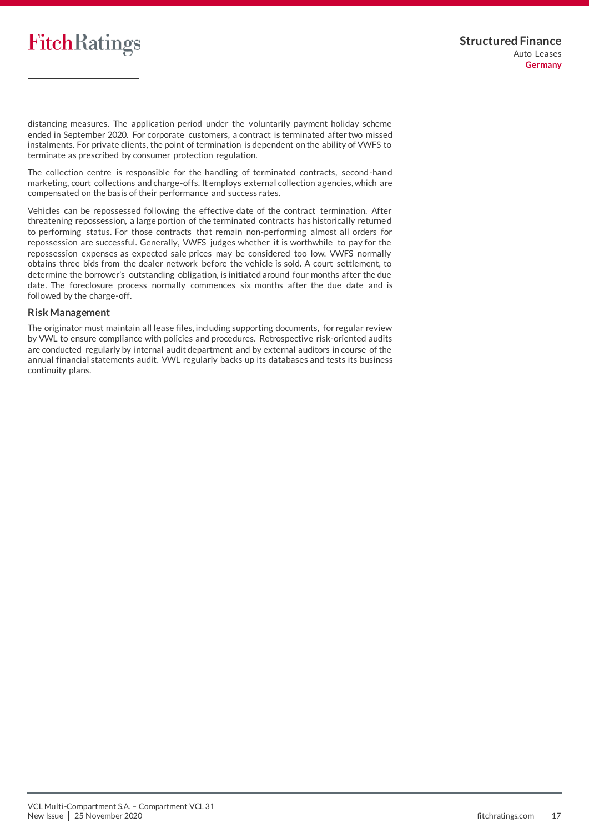distancing measures. The application period under the voluntarily payment holiday scheme ended in September 2020. For corporate customers, a contract is terminated after two missed instalments. For private clients, the point of termination is dependent on the ability of VWFS to terminate as prescribed by consumer protection regulation.

The collection centre is responsible for the handling of terminated contracts, second-hand marketing, court collections and charge-offs. It employs external collection agencies, which are compensated on the basis of their performance and success rates.

Vehicles can be repossessed following the effective date of the contract termination. After threatening repossession, a large portion of the terminated contracts has historically returne d to performing status. For those contracts that remain non-performing almost all orders for repossession are successful. Generally, VWFS judges whether it is worthwhile to pay for the repossession expenses as expected sale prices may be considered too low. VWFS normally obtains three bids from the dealer network before the vehicle is sold. A court settlement, to determine the borrower's outstanding obligation, is initiated around four months after the due date. The foreclosure process normally commences six months after the due date and is followed by the charge-off.

#### **RiskManagement**

<span id="page-16-0"></span>The originator must maintain all lease files, including supporting documents, for regular review by VWL to ensure compliance with policies and procedures. Retrospective risk-oriented audits are conducted regularly by internal audit department and by external auditors in course of the annual financial statements audit. VWL regularly backs up its databases and tests its business continuity plans.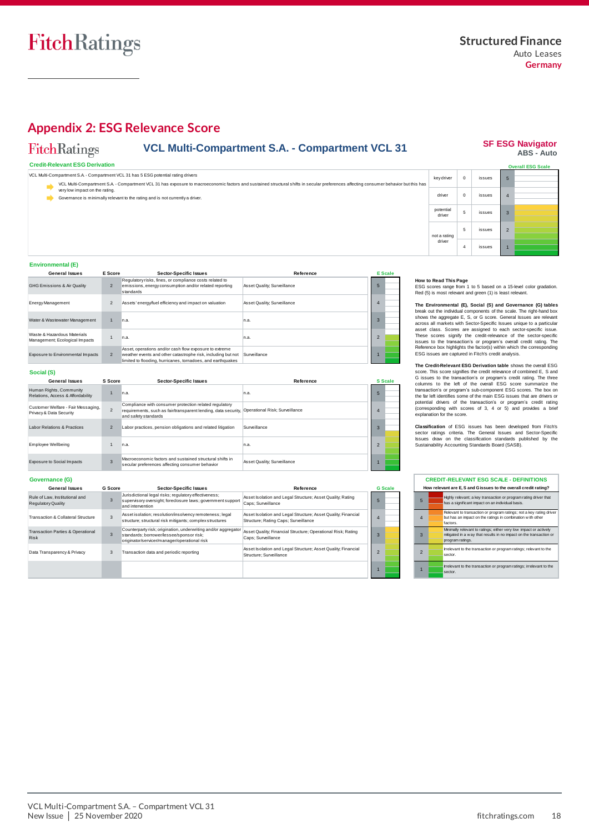**SF ESG Navigator<br>ABS - Auto** 

## <span id="page-17-0"></span>**Appendix 2: ESG Relevance Score**

#### FitchRatings **VCL Multi-Compartment S.A. - Compartment VCL 31**

#### **Credit-Relevant ESG Derivation**

 $key$  driver  $\begin{vmatrix} 0 \\ 0 \end{vmatrix}$ 5 4 issues issues driver VCL Multi-Compartment S.A. - Compartment VCL 31 has 5 ESG potential rating drivers 0 VCL Multi-Compartment S.A. - Compartment VCL 31 has exposure to macroeconomic factors and sustained structural shifts in secular preferences affecting consumer behavior but this has  $\blacktriangledown$  very low impact on the rating. Governance is minimally relevant to the rating and is not currently a driver.

## 1 2 3 potential driver not a rating<br>
driver<br>  $\begin{array}{|l|l|}\n\hline\n4 & \text{is sues} & 1\n\end{array}$ <br>
How to Read This Page<br>
ESG scores range from 1 to 5 based on a 15-level color gradation.<br>Red (5) is most relevant and green (1) is least relevant. **Trall ESG Scale** 5 issues not a rating driver 5 issues 4 issues

#### **Environmental (E)**

| <b>General Issues</b>                                         | E Score        | <b>Sector-Specific Issues</b>                                                                                                                                                         | Reference                   |                | <b>E</b> Scale |
|---------------------------------------------------------------|----------------|---------------------------------------------------------------------------------------------------------------------------------------------------------------------------------------|-----------------------------|----------------|----------------|
| <b>GHG Emissions &amp; Air Quality</b>                        | $\overline{2}$ | Regulatory risks, fines, or compliance costs related to<br>emissions, energy consumption and/or related reporting<br>standards                                                        | Asset Quality; Surveillance | 5              |                |
| <b>Energy Management</b>                                      | 2              | Assets' energy/fuel efficiency and impact on valuation                                                                                                                                | Asset Quality; Surveillance | 4              |                |
| Water & Wastewater Management                                 |                | n.a.                                                                                                                                                                                  | In.a.                       | $\overline{3}$ |                |
| Waste & Hazardous Materials<br>Management; Ecological Impacts |                | n.a.                                                                                                                                                                                  | In.a.                       |                |                |
| Exposure to Environmental Impacts                             | 2              | Asset, operations and/or cash flow exposure to extreme<br>weather events and other catastrophe risk, including but not<br>limited to flooding, hurricanes, tornadoes, and earthquakes | Surveillance                |                |                |

#### **Social (S)**

| <b>General Issues</b>                                         | S Score        | <b>Sector-Specific Issues</b>                                                                                                                    | Reference                      |                | <b>S</b> Scale |
|---------------------------------------------------------------|----------------|--------------------------------------------------------------------------------------------------------------------------------------------------|--------------------------------|----------------|----------------|
| Human Rights, Community<br>Relations, Access & Affordability  |                | In.a.                                                                                                                                            | n.a.                           | 5              |                |
| Customer Welfare - Fair Messaging,<br>Privacy & Data Security | $\overline{2}$ | Compliance with consumer protection related regulatory<br>requirements, such as fair/transparent lending, data security,<br>and safety standards | Operational Risk; Surveillance |                |                |
| Labor Relations & Practices                                   | $\overline{2}$ | Labor practices, pension obligations and related litigation                                                                                      | Surveillance                   | 3              |                |
| <b>Employee Wellbeing</b>                                     |                | n.a.                                                                                                                                             | n.a.                           | $\mathfrak{p}$ |                |
| Exposure to Social Impacts                                    | 3              | Macroeconomic factors and sustained structural shifts in<br>secular preferences affecting consumer behavior                                      | Asset Quality; Surveillance    |                |                |

#### **How to Read This Page**

**The Environmental (E), Social (S) and Governance (G) tables The Environmental (E), Social (S) and Governance (G) tables**<br>break out the individual components of the scale. The right-hand box<br>shows the aggregate E, S, or G score. General Issues are relevant<br>across all markets with S How to Read This Page<br>ESG scores range from 1 to 5 based on a 15-level color gradation.<br>Red (5) is most relevant and green (1) is least relevant.<br>The Environmental (E), Social (S) and Governance (G) tables<br>break out the in These scores signify the credit-relevance of the sector-specific ESG socres range from 1 to 5 based on a 15-level color gradation.<br>Red (5) is most relevant and green (1) is least relevant.<br>The Environmental (E), Social (S) and Governance (G) tables<br>break out the individual components of shows the aggregate E, S, or G score. General issues are relevant asset class. Scores are assigned to each sector-specific issue.<br>These scores signify the credit-relevance of the sector-specific issues<br>tsues to the transac

**The Credit-Relevant ESG Derivation table** shows the overall ESG score. This score signifies the credit relevance of combined E, S and Gissues to the transaction's or program's credit rating. The three collapsion columns t transaction's or program's sub-component ESG scores. The box on<br>the far left identifies some of the main ESG issues that are drivers or<br>potential drivers of the transaction's or program's credit rating<br>(corresponding with

**Classification** of ESG issues has been developed from Fitch's sector ratings criteria. The General Issues and Sector-Specific Issues draw on the classification standards published by the Sustainability Accounting Standard

|                | <b>CREDIT-RELEVANT ESG SCALE - DEFINITIONS</b><br>How relevant are E, S and G issues to the overall credit rating?                                         |
|----------------|------------------------------------------------------------------------------------------------------------------------------------------------------------|
| 5              | Highly relevant; a key transaction or program rating driver that<br>has a significant impact on an individual basis.                                       |
| $\overline{4}$ | Relevant to transaction or program ratings; not a key rating driver<br>but has an impact on the ratings in combination with other<br>factors.              |
| 3              | Mnimally relevant to ratings; either very low impact or actively<br>mitigated in a way that results in no impact on the transaction or<br>program ratings. |
| $\mathfrak{p}$ | Irrelevant to the transaction or program ratings; relevant to the<br>sector.                                                                               |
|                | Irrelevant to the transaction or program ratings; irrelevant to the<br>sector.                                                                             |

#### **Governance (G)**

| <b>General Issues</b>                                       | <b>G</b> Score | <b>Sector-Specific Issues</b>                                                                                                                              | Reference                                                                                             | <b>G</b> Scale |  |
|-------------------------------------------------------------|----------------|------------------------------------------------------------------------------------------------------------------------------------------------------------|-------------------------------------------------------------------------------------------------------|----------------|--|
| Rule of Law, Institutional and<br><b>Regulatory Quality</b> | 3              | Jurisdictional legal risks; regulatory effectiveness;<br>supervisory oversight; foreclosure laws; government support<br>and intervention                   | Asset Isolation and Legal Structure; Asset Quality; Rating<br>Caps: Surveillance                      |                |  |
| Transaction & Collateral Structure                          | 3              | Asset isolation; resolution/insolvency remoteness; legal<br>structure; structural risk mitigants; complex structures                                       | Asset Isolation and Legal Structure; Asset Quality; Financial<br>Structure; Rating Caps; Surveillance |                |  |
| Transaction Parties & Operational<br><b>Risk</b>            | 3              | Counterparty risk; origination, underwriting and/or aggregator<br>standards: borrower/lessee/sponsor risk:<br>originator/servicer/manager/operational risk | Asset Quality; Financial Structure; Operational Risk; Rating<br>Caps: Surveillance                    |                |  |
| Data Transparency & Privacy                                 | 3              | Transaction data and periodic reporting                                                                                                                    | Asset Isolation and Legal Structure; Asset Quality; Financial<br>Structure: Surveillance              |                |  |
|                                                             |                |                                                                                                                                                            |                                                                                                       |                |  |